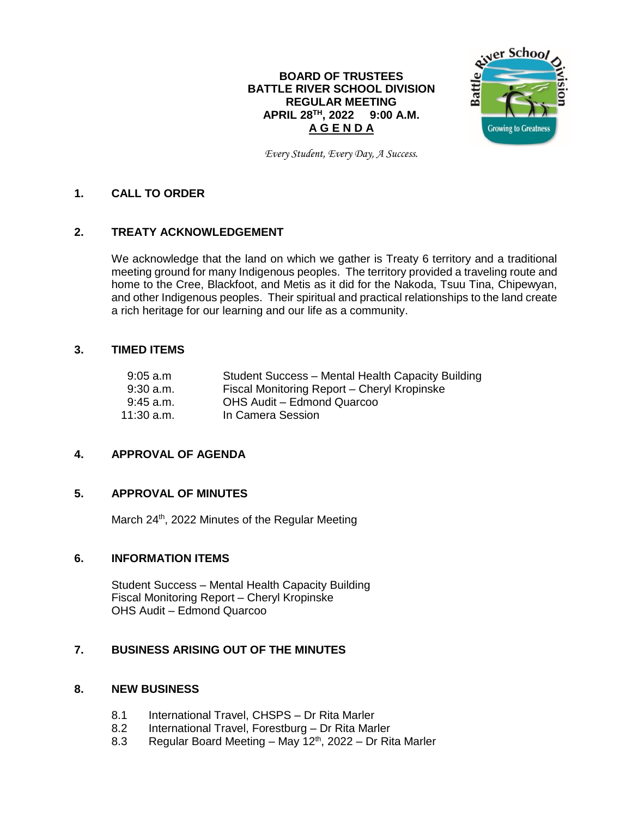# **BOARD OF TRUSTEES BATTLE RIVER SCHOOL DIVISION REGULAR MEETING APRIL 28 TH , 2022 9:00 A.M. A G E N D A**



*Every Student, Every Day, A Success.*

## **1. CALL TO ORDER**

## **2. TREATY ACKNOWLEDGEMENT**

We acknowledge that the land on which we gather is Treaty 6 territory and a traditional meeting ground for many Indigenous peoples. The territory provided a traveling route and home to the Cree, Blackfoot, and Metis as it did for the Nakoda, Tsuu Tina, Chipewyan, and other Indigenous peoples. Their spiritual and practical relationships to the land create a rich heritage for our learning and our life as a community.

### **3. TIMED ITEMS**

| 9:05a.m      | Student Success - Mental Health Capacity Building |
|--------------|---------------------------------------------------|
| $9:30$ a.m.  | Fiscal Monitoring Report - Cheryl Kropinske       |
| $9:45$ a.m.  | OHS Audit - Edmond Quarcoo                        |
| $11:30$ a.m. | In Camera Session                                 |

# **4. APPROVAL OF AGENDA**

## **5. APPROVAL OF MINUTES**

March 24<sup>th</sup>, 2022 Minutes of the Regular Meeting

## **6. INFORMATION ITEMS**

Student Success – Mental Health Capacity Building Fiscal Monitoring Report – Cheryl Kropinske OHS Audit – Edmond Quarcoo

## **7. BUSINESS ARISING OUT OF THE MINUTES**

#### **8. NEW BUSINESS**

- 8.1 International Travel, CHSPS Dr Rita Marler
- 8.2 International Travel, Forestburg Dr Rita Marler
- 8.3 Regular Board Meeting May 12<sup>th</sup>, 2022 Dr Rita Marler